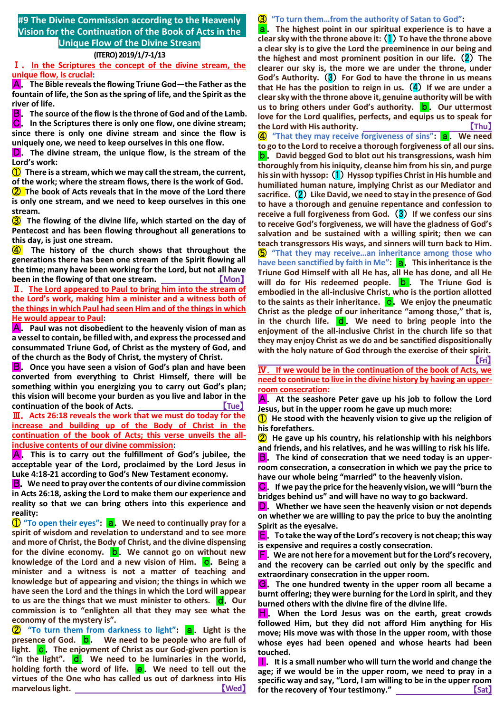#### **#9 The Divine Commission according to the Heavenly Vision for the Continuation of the Book of Acts in the Unique Flow of the Divine Stream**

# **(ITERO) 2019/1/7-1/13**

Ⅰ.**In the Scriptures the concept of the divine stream, the unique flow, is crucial:**

A.**The Bible reveals the flowing Triune God—the Father as the fountain of life, the Son as the spring of life, and the Spirit as the river of life.**

B.**The source of the flow is the throne of God and of the Lamb.** C.**In the Scriptures there is only one flow, one divine stream; since there is only one divine stream and since the flow is uniquely one, we need to keep ourselves in this one flow.**

D.**The divine stream, the unique flow, is the stream of the Lord's work:**

① **There is a stream, which we may call the stream, the current, of the work; where the stream flows, there is the work of God.**

② **The book of Acts reveals that in the move of the Lord there is only one stream, and we need to keep ourselves in this one stream.**

③ **The flowing of the divine life, which started on the day of Pentecost and has been flowing throughout all generations to this day, is just one stream.**

④ **The history of the church shows that throughout the generations there has been one stream of the Spirit flowing all the time; many have been working for the Lord, but not all have been in the flowing of that one stream.** None **Mon** 

Ⅱ.**The Lord appeared to Paul to bring him into the stream of the Lord's work, making him a minister and a witness both of the things in which Paul had seen Him and of the things in which He would appear to Paul:**

**A.** Paul was not disobedient to the heavenly vision of man as **a vessel to contain, be filled with, and express the processed and consummated Triune God, of Christ as the mystery of God, and of the church as the Body of Christ, the mystery of Christ.**

B.**Once you have seen a vision of God's plan and have been converted from everything to Christ Himself, there will be something within you energizing you to carry out God's plan; this vision will become your burden as you live and labor in the**  continuation of the book of Acts.

Ⅲ.**Acts 26:18 reveals the work that we must do today for the increase and building up of the Body of Christ in the continuation of the book of Acts; this verse unveils the allinclusive contents of our divine commission:**

A.**This is to carry out the fulfillment of God's jubilee, the acceptable year of the Lord, proclaimed by the Lord Jesus in Luke 4:18-21 according to God's New Testament economy.**

B.**We need to pray over the contents of our divine commission in Acts 26:18, asking the Lord to make them our experience and reality so that we can bring others into this experience and reality:**

① **"To open their eyes":** a.**We need to continually pray for a spirit of wisdom and revelation to understand and to see more and more of Christ, the Body of Christ, and the divine dispensing**  for the divine economy. **b**. We cannot go on without new **knowledge of the Lord and a new vision of Him. C.** Being a **minister and a witness is not a matter of teaching and knowledge but of appearing and vision; the things in which we have seen the Lord and the things in which the Lord will appear to us are the things that we must minister to others. <b>d**. Our **commission is to "enlighten all that they may see what the economy of the mystery is".**

② **"To turn them from darkness to light":** a.**Light is the presence of God. b.** We need to be people who are full of **light. c.** The enjoyment of Christ as our God-given portion is "in the light". d. We need to be luminaries in the world, **holding forth the word of life. e.** We need to tell out the **virtues of the One who has called us out of darkness into His marvelous light. CONSIDERED ASSESSED ASSESSED ASSOCIATES** 

③ **"To turn them…from the authority of Satan to God":** a.**The highest point in our spiritual experience is to have a clear sky with the throne above it:**(1)**To have the throne above a clear sky is to give the Lord the preeminence in our being and the highest and most prominent position in our life.**(2)**The clearer our sky is, the more we are under the throne, under God's Authority.**(3)**For God to have the throne in us means that He has the position to reign in us.**(4)**If we are under a clear sky with the throne above it, genuine authority will be with us to bring others under God's authority. b.** Our uttermost **love for the Lord qualifies, perfects, and equips us to speak for the Lord with His authority.** 【**Thu**】 **4** "That they may receive forgiveness of sins": **a.** We need **to go to the Lord to receive a thorough forgiveness of all our sins.** b.**David begged God to blot out his transgressions, wash him thoroughly from his iniquity, cleanse him from his sin, and purge his sin with hyssop:**(1)**Hyssop typifies Christ in His humble and humiliated human nature, implying Christ as our Mediator and sacrifice.**(2)**Like David, we need to stay in the presence of God to have a thorough and genuine repentance and confession to receive a full forgiveness from God.**(3)**If we confess our sins to receive God's forgiveness, we will have the gladness of God's salvation and be sustained with a willing spirit; then we can teach transgressors His ways, and sinners will turn back to Him.** ⑤ **"That they may receive…an inheritance among those who have been sanctified by faith in Me":** a.**This inheritance is the Triune God Himself with all He has, all He has done, and all He will do for His redeemed people. b** . The Triune God is **embodied in the all-inclusive Christ, who is the portion allotted**  to the saints as their inheritance. C. We enjoy the pneumatic **Christ as the pledge of our inheritance "among those," that is,**  in the church life. **d**. We need to bring people into the **enjoyment of the all-inclusive Christ in the church life so that they may enjoy Christ as we do and be sanctified dispositionally with the holy nature of God through the exercise of their spirit.**

**Expediance of the Contract of the Contract of the Contract of the Contract of the Contract of the Contract of** 

Ⅳ.**If we would be in the continuation of the book of Acts, we need to continue to live in the divine history by having an upperroom consecration:**

A.**At the seashore Peter gave up his job to follow the Lord Jesus, but in the upper room he gave up much more:**

① **He stood with the heavenly vision to give up the religion of his forefathers.**

② **He gave up his country, his relationship with his neighbors and friends, and his relatives, and he was willing to risk his life.**

**B**. The kind of consecration that we need today is an upper**room consecration, a consecration in which we pay the price to have our whole being "married" to the heavenly vision.**

C.**If we pay the price for the heavenly vision, we will "burn the bridges behind us" and will have no way to go backward.**

D.**Whether we have seen the heavenly vision or not depends on whether we are willing to pay the price to buy the anointing Spirit as the eyesalve.**

E.**To take the way of the Lord's recovery is not cheap; this way is expensive and requires a costly consecration.**

F.**We are not here for a movement but for the Lord's recovery, and the recovery can be carried out only by the specific and extraordinary consecration in the upper room.**

G.**The one hundred twenty in the upper room all became a burnt offering; they were burning for the Lord in spirit, and they burned others with the divine fire of the divine life.**

H.**When the Lord Jesus was on the earth, great crowds followed Him, but they did not afford Him anything for His move; His move was with those in the upper room, with those whose eyes had been opened and whose hearts had been touched.**

**I.** It is a small number who will turn the world and change the **age; if we would be in the upper room, we need to pray in a specific way and say, "Lord, I am willing to be in the upper room**  for the recovery of Your testimony." **All and Solution** (Sat)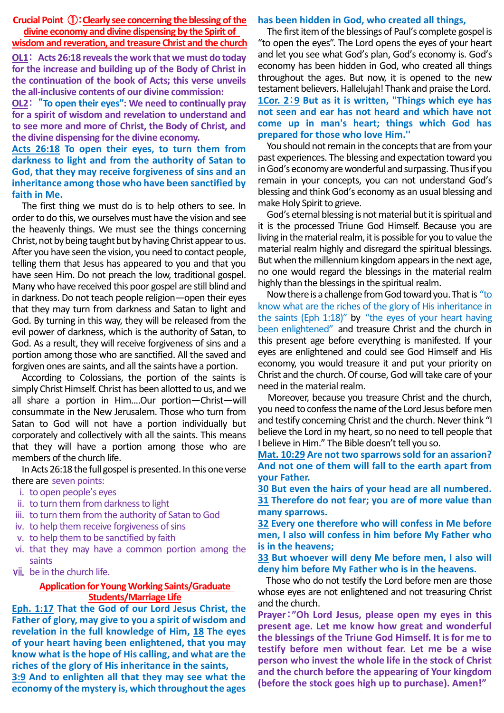**Crucial Point** ①:**Clearly see concerning the blessing of the divine economy and divine dispensing by the Spirit of** 

# **wisdom and reveration, and treasure Christ and the church**

**OL1**: **Acts 26:18 reveals the work that we must do today for the increase and building up of the Body of Christ in the continuation of the book of Acts; this verse unveils the all-inclusive contents of our divine commission:**

**OL2**: "**To open their eyes": We need to continually pray for a spirit of wisdom and revelation to understand and to see more and more of Christ, the Body of Christ, and the divine dispensing for the divine economy.**

### **Acts 26:18 To open their eyes, to turn them from darkness to light and from the authority of Satan to God, that they may receive forgiveness of sins and an inheritance among those who have been sanctified by faith in Me.**

The first thing we must do is to help others to see. In order to do this, we ourselves must have the vision and see the heavenly things. We must see the things concerning Christ, not by being taught but by having Christ appear to us. After you have seen the vision, you need to contact people, telling them that Jesus has appeared to you and that you have seen Him. Do not preach the low, traditional gospel. Many who have received this poor gospel are still blind and in darkness. Do not teach people religion—open their eyes that they may turn from darkness and Satan to light and God. By turning in this way, they will be released from the evil power of darkness, which is the authority of Satan, to God. As a result, they will receive forgiveness of sins and a portion among those who are sanctified. All the saved and forgiven ones are saints, and all the saints have a portion.

According to Colossians, the portion of the saints is simply Christ Himself. Christ has been allotted to us, and we all share a portion in Him....Our portion—Christ—will consummate in the New Jerusalem. Those who turn from Satan to God will not have a portion individually but corporately and collectively with all the saints. This means that they will have a portion among those who are members of the church life.

In Acts 26:18 the full gospel is presented. In this one verse there are seven points:

- i. to open people's eyes
- ii. to turn them from darkness to light
- iii. to turn them from the authority of Satan to God
- iv. to help them receive forgiveness of sins
- v. to help them to be sanctified by faith
- vi. that they may have a common portion among the saints
- vii. be in the church life.

#### **Application for Young Working Saints/Graduate Students/Marriage Life**

**Eph. 1:17 That the God of our Lord Jesus Christ, the Father of glory, may give to you a spirit of wisdom and revelation in the full knowledge of Him, 18 The eyes of your heart having been enlightened, that you may know what is the hope of His calling, and what are the riches of the glory of His inheritance in the saints,** 

**3:9 And to enlighten all that they may see what the economy of the mystery is, which throughout the ages** 

#### **has been hidden in God, who created all things,**

The first item of the blessings of Paul's complete gospel is "to open the eyes". The Lord opens the eyes of your heart and let you see what God's plan, God's economy is. God's economy has been hidden in God, who created all things throughout the ages. But now, it is opened to the new testament believers. Hallelujah! Thank and praise the Lord. **1Cor. 2**:**9 But as it is written, "Things which eye has not seen and ear has not heard and which have not come up in man's heart; things which God has prepared for those who love Him.''**

You should not remain in the concepts that are from your past experiences. The blessing and expectation toward you in God's economy are wonderful and surpassing. Thus if you remain in your concepts, you can not understand God's blessing and think God's economy as an usual blessing and make Holy Spirit to grieve.

God's eternal blessing is not material but it is spiritual and it is the processed Triune God Himself. Because you are living in the material realm, it is possible for you to value the material realm highly and disregard the spiritual blessings. But when the millennium kingdom appears in the next age, no one would regard the blessings in the material realm highly than the blessings in the spiritual realm.

Nowthere is a challenge from God toward you. That is "to know what are the riches of the glory of His inheritance in the saints (Eph 1:18)" by "the eyes of your heart having been enlightened" and treasure Christ and the church in this present age before everything is manifested. If your eyes are enlightened and could see God Himself and His economy, you would treasure it and put your priority on Christ and the church. Of course, God will take care of your need in the material realm.

Moreover, because you treasure Christ and the church, you need to confess the name of the Lord Jesus before men and testify concerning Christ and the church. Never think "I believe the Lord in my heart, so no need to tell people that I believe in Him." The Bible doesn't tell you so.

**Mat. 10:29 Are not two sparrows sold for an assarion? And not one of them will fall to the earth apart from your Father.** 

**30 But even the hairs of your head are all numbered. 31 Therefore do not fear; you are of more value than many sparrows.** 

**32 Every one therefore who will confess in Me before men, I also will confess in him before My Father who is in the heavens;** 

**33 But whoever will deny Me before men, I also will deny him before My Father who is in the heavens.** 

Those who do not testify the Lord before men are those whose eyes are not enlightened and not treasuring Christ and the church.

**Prayer**:**"Oh Lord Jesus, please open my eyes in this present age. Let me know how great and wonderful the blessings of the Triune God Himself. It is for me to testify before men without fear. Let me be a wise person who invest the whole life in the stock of Christ and the church before the appearing of Your kingdom (before the stock goes high up to purchase). Amen!"**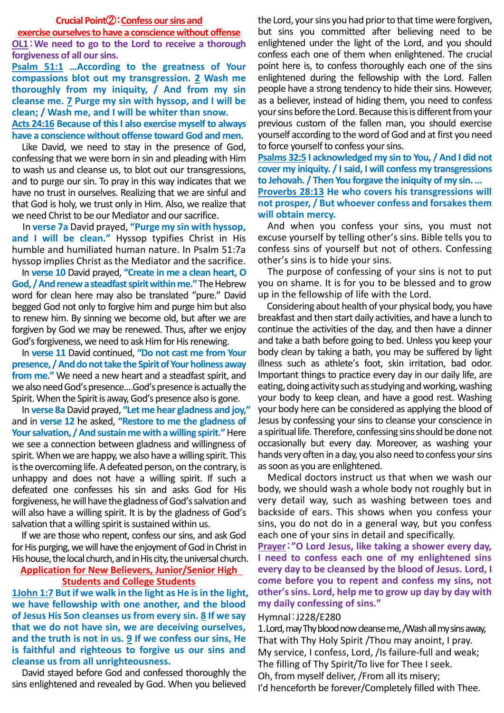#### **Crucial Point**②:**Confess our sins and**

### **exercise ourselves to have a conscience without offense**

**OL1**:**We need to go to the Lord to receive a thorough forgiveness of all our sins.**

**Psalm 51:1 …According to the greatness of Your compassions blot out my transgression. 2 Wash me thoroughly from my iniquity, / And from my sin cleanse me. 7 Purge my sin with hyssop, and I will be clean; / Wash me, and I will be whiter than snow.**

**Acts 24:16 Because of this I also exercise myself to always have a conscience without offense toward God and men.**

Like David, we need to stay in the presence of God, confessing that we were born in sin and pleading with Him to wash us and cleanse us, to blot out our transgressions, and to purge our sin. To pray in this way indicates that we have no trust in ourselves. Realizing that we are sinful and that God is holy, we trust only in Him. Also, we realize that we need Christ to be our Mediator and our sacrifice.

In **verse 7a** David prayed, **"Purge my sin with hyssop, and I will be clean."** Hyssop typifies Christ in His humble and humiliated human nature. In Psalm 51:7a hyssop implies Christ as the Mediator and the sacrifice.

In **verse 10** David prayed, **"Create in me a clean heart, O God, / And renew a steadfast spirit within me."**The Hebrew word for clean here may also be translated "pure." David begged God not only to forgive him and purge him but also to renew him. By sinning we become old, but after we are forgiven by God we may be renewed. Thus, after we enjoy God's forgiveness, we need to ask Him for His renewing.

In **verse 11** David continued, **"Do not cast me from Your presence, / And do not take the Spirit of Your holiness away from me."** We need a new heart and a steadfast spirit, and we also need God's presence....God's presence is actually the Spirit. When the Spirit is away, God's presence also is gone.

In **verse 8a**David prayed, **"Let me hear gladness and joy,"** and in **verse 12** he asked, **"Restore to me the gladness of Your salvation, / And sustain me with a willing spirit."**Here we see a connection between gladness and willingness of spirit. When we are happy, we also have a willing spirit. This is the overcoming life. A defeated person, on the contrary, is unhappy and does not have a willing spirit. If such a defeated one confesses his sin and asks God for His forgiveness, he will have the gladness of God's salvation and will also have a willing spirit. It is by the gladness of God's salvation that a willing spirit is sustained within us.

If we are those who repent, confess our sins, and ask God for His purging, we will have the enjoyment of God in Christ in His house, the local church, and in His city, the universal church.

## **Application for New Believers, Junior/Senior High Students and College Students**

**1John 1:7 But if we walk in the light as He is in the light, we have fellowship with one another, and the blood of Jesus His Son cleanses us from every sin. 8 If we say that we do not have sin, we are deceiving ourselves, and the truth is not in us. 9 If we confess our sins, He is faithful and righteous to forgive us our sins and cleanse us from all unrighteousness.**

David stayed before God and confessed thoroughly the sins enlightened and revealed by God. When you believed the Lord, your sins you had prior to that time were forgiven, but sins you committed after believing need to be enlightened under the light of the Lord, and you should confess each one of them when enlightened. The crucial point here is, to confess thoroughly each one of the sins enlightened during the fellowship with the Lord. Fallen people have a strong tendency to hide their sins. However, as a believer, instead of hiding them, you need to confess your sins before the Lord. Because this is different from your previous custom of the fallen man, you should exercise yourself according to the word of God and at first you need to force yourself to confess your sins.

**Psalms 32:5 I acknowledged my sin to You, / And I did not cover my iniquity. / I said, I will confess my transgressions to Jehovah. / Then You forgave the iniquity of my sin. … Proverbs 28:13 He who covers his transgressions will not prosper, / But whoever confess and forsakes them will obtain mercy.**

And when you confess your sins, you must not excuse yourself by telling other's sins. Bible tells you to confess sins of yourself but not of others. Confessing other's sins is to hide your sins.

The purpose of confessing of your sins is not to put you on shame. It is for you to be blessed and to grow up in the fellowship of life with the Lord.

Considering about health of your physical body, you have breakfast and then start daily activities, and have a lunch to continue the activities of the day, and then have a dinner and take a bath before going to bed. Unless you keep your body clean by taking a bath, you may be suffered by light illness such as athlete's foot, skin irritation, bad odor. Important things to practice every day in our daily life, are eating, doing activity such as studying and working, washing your body to keep clean, and have a good rest. Washing your body here can be considered as applying the blood of Jesus by confessing your sins to cleanse your conscience in a spiritual life. Therefore, confessing sins should be done not occasionally but every day. Moreover, as washing your hands very often in a day, you also need to confess your sins as soon as you are enlightened.

Medical doctors instruct us that when we wash our body, we should wash a whole body not roughly but in very detail way, such as washing between toes and backside of ears. This shows when you confess your sins, you do not do in a general way, but you confess each one of your sins in detail and specifically.

**Prayer**:**"O Lord Jesus, like taking a shower every day, I need to confess each one of my enlightened sins every day to be cleansed by the blood of Jesus. Lord, I come before you to repent and confess my sins, not other's sins. Lord, help me to grow up day by day with my daily confessing of sins."**

## Hymnal:J228/E280

1.Lord, may Thy blood now cleanse me, /Wash all my sins away, That with Thy Holy Spirit /Thou may anoint, I pray. My service, I confess, Lord, /Is failure-full and weak; The filling of Thy Spirit/To live for Thee I seek. Oh, from myself deliver, /From all its misery; I'd henceforth be forever/Completely filled with Thee.